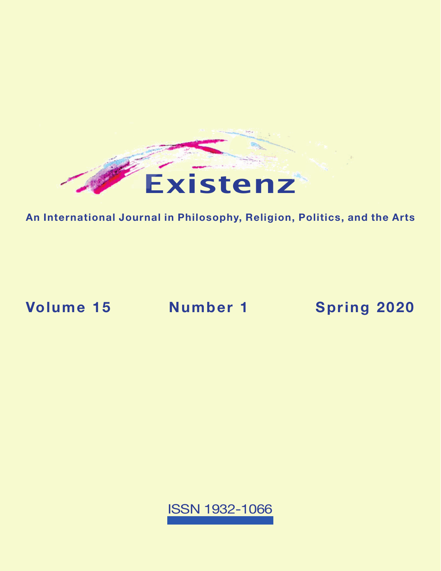

**An International Journal in Philosophy, Religion, Politics, and the Arts**

**Volume 15 Number 1 [Spring 2020](https://existenz.us/volume15No1.html)**

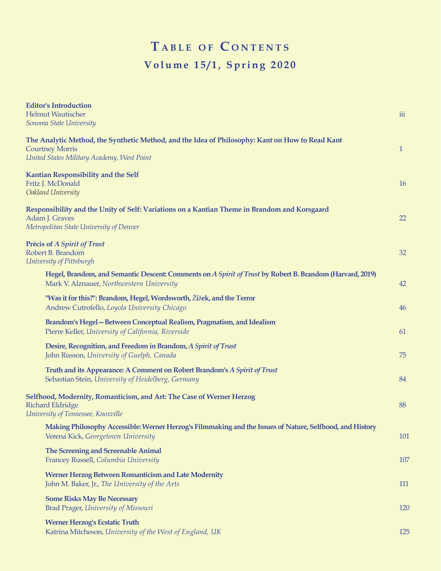## $T$  **a** BLE OF CONTENTS **Volume 15/1, Spring 2020**

| <b>Editor's Introduction</b>                                                                                              |              |
|---------------------------------------------------------------------------------------------------------------------------|--------------|
| <b>Helmut Wautischer</b>                                                                                                  | iii          |
| Sonoma State University                                                                                                   |              |
| The Analytic Method, the Synthetic Method, and the Idea of Philosophy: Kant on How to Read Kant<br><b>Courtney Morris</b> | $\mathbf{1}$ |
| United States Military Academy, West Point                                                                                |              |
|                                                                                                                           |              |
| <b>Kantian Responsibility and the Self</b>                                                                                |              |
| Fritz J. McDonald                                                                                                         | <b>16</b>    |
| Oakland University                                                                                                        |              |
| Responsibility and the Unity of Self: Variations on a Kantian Theme in Brandom and Korsgaard                              |              |
| Adam J. Graves                                                                                                            | 22           |
| Metropolitan State University of Denver                                                                                   |              |
|                                                                                                                           |              |
| <b>Précis of A Spirit of Trust</b>                                                                                        |              |
| Robert B. Brandom<br>University of Pittsburgh                                                                             | 32           |
|                                                                                                                           |              |
| Hegel, Brandom, and Semantic Descent: Comments on A Spirit of Trust by Robert B. Brandom (Harvard, 2019)                  |              |
| Mark V. Alznauer, Northwestern University                                                                                 | 42           |
| "Was it for this?": Brandom, Hegel, Wordsworth, Žižek, and the Terror                                                     |              |
| Andrew Cutrofello, Loyola University Chicago                                                                              | 46           |
| Brandom's Hegel - Between Conceptual Realism, Pragmatism, and Idealism                                                    |              |
| Pierre Keller, University of California, Riverside                                                                        | 61           |
|                                                                                                                           |              |
| Desire, Recognition, and Freedom in Brandom, A Spirit of Trust                                                            |              |
| John Russon, University of Guelph, Canada                                                                                 | 75           |
| Truth and its Appearance: A Comment on Robert Brandom's A Spirit of Trust                                                 |              |
| Sebastian Stein, University of Heidelberg, Germany                                                                        | 84           |
|                                                                                                                           |              |
| Selfhood, Modernity, Romanticism, and Art: The Case of Werner Herzog<br><b>Richard Eldridge</b>                           | 88           |
| University of Tennessee, Knoxville                                                                                        |              |
|                                                                                                                           |              |
| Making Philosophy Accessible: Werner Herzog's Filmmaking and the Issues of Nature, Selfhood, and History                  |              |
| Verena Kick, Georgetown University                                                                                        | 101          |
| The Screening and Screenable Animal                                                                                       |              |
| Francey Russell, Columbia University                                                                                      | 107          |
| Werner Herzog Between Romanticism and Late Modernity                                                                      |              |
| John M. Baker, Jr., The University of the Arts                                                                            | 111          |
|                                                                                                                           |              |
| <b>Some Risks May Be Necessary</b>                                                                                        |              |
| Brad Prager, University of Missouri                                                                                       | 120          |
| <b>Werner Herzog's Ecstatic Truth</b>                                                                                     |              |
| Katrina Mitcheson, University of the West of England, UK                                                                  | 125          |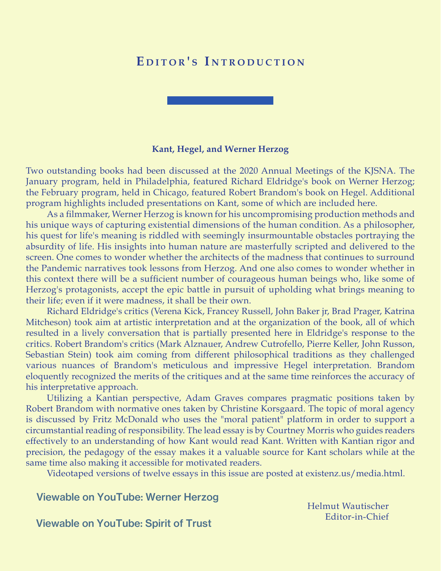## EDITOR'S INTRODUCTION



Two outstanding books had been discussed at the 2020 Annual Meetings of the KJSNA. The January program, held in Philadelphia, featured Richard Eldridge's book on Werner Herzog; the February program, held in Chicago, featured Robert Brandom's book on Hegel. Additional program highlights included presentations on Kant, some of which are included here.

As a filmmaker, Werner Herzog is known for his uncompromising production methods and his unique ways of capturing existential dimensions of the human condition. As a philosopher, his quest for life's meaning is riddled with seemingly insurmountable obstacles portraying the absurdity of life. His insights into human nature are masterfully scripted and delivered to the screen. One comes to wonder whether the architects of the madness that continues to surround the Pandemic narratives took lessons from Herzog. And one also comes to wonder whether in this context there will be a sufficient number of courageous human beings who, like some of Herzog's protagonists, accept the epic battle in pursuit of upholding what brings meaning to their life; even if it were madness, it shall be their own.

Richard Eldridge's critics (Verena Kick, Francey Russell, John Baker jr, Brad Prager, Katrina Mitcheson) took aim at artistic interpretation and at the organization of the book, all of which resulted in a lively conversation that is partially presented here in Eldridge's response to the critics. Robert Brandom's critics (Mark Alznauer, Andrew Cutrofello, Pierre Keller, John Russon, Sebastian Stein) took aim coming from different philosophical traditions as they challenged various nuances of Brandom's meticulous and impressive Hegel interpretation. Brandom eloquently recognized the merits of the critiques and at the same time reinforces the accuracy of his interpretative approach.

Utilizing a Kantian perspective, Adam Graves compares pragmatic positions taken by Robert Brandom with normative ones taken by Christine Korsgaard. The topic of moral agency is discussed by Fritz McDonald who uses the "moral patient" platform in order to support a circumstantial reading of responsibility. The lead essay is by Courtney Morris who guides readers effectively to an understanding of how Kant would read Kant. Written with Kantian rigor and precision, the pedagogy of the essay makes it a valuable source for Kant scholars while at the same time also making it accessible for motivated readers.

Videotaped versions of twelve essays in this issue are [posted at existenz.us/media.html.](https://existenz.us/media.html)

[Viewable on YouTube: Werner Herzog](https://youtu.be/zGbRX17Zx4o)

Helmut Wautischer Editor-in-Chief

[Viewable on YouTube: Spirit](https://youtu.be/xhU8ldFN44M) of Trust